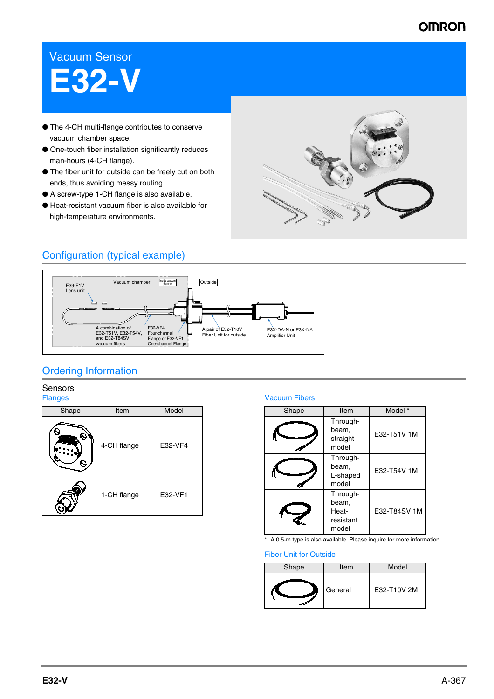## **OMRON**

# Vacuum Sensor **E32-V**

- The 4-CH multi-flange contributes to conserve vacuum chamber space.
- One-touch fiber installation significantly reduces man-hours (4-CH flange).
- The fiber unit for outside can be freely cut on both ends, thus avoiding messy routing.
- A screw-type 1-CH flange is also available.
- Heat-resistant vacuum fiber is also available for high-temperature environments.



## Configuration (typical example)



## Ordering Information

## Sensors

| Shape | Item        | Model   |  |
|-------|-------------|---------|--|
|       | 4-CH flange | E32-VF4 |  |
|       | 1-CH flange | E32-VF1 |  |

### Flanges Vacuum Fibers

| Shape | Item                                             | Model *      |  |
|-------|--------------------------------------------------|--------------|--|
|       | Through-<br>beam.<br>straight<br>model           | E32-T51V 1M  |  |
|       | Through-<br>beam.<br>L-shaped<br>model           | E32-T54V 1M  |  |
|       | Through-<br>beam.<br>Heat-<br>resistant<br>model | E32-T84SV 1M |  |

\* A 0.5-m type is also available. Please inquire for more information.

### Fiber Unit for Outside

| Shape | Item    | Model       |
|-------|---------|-------------|
|       | General | E32-T10V 2M |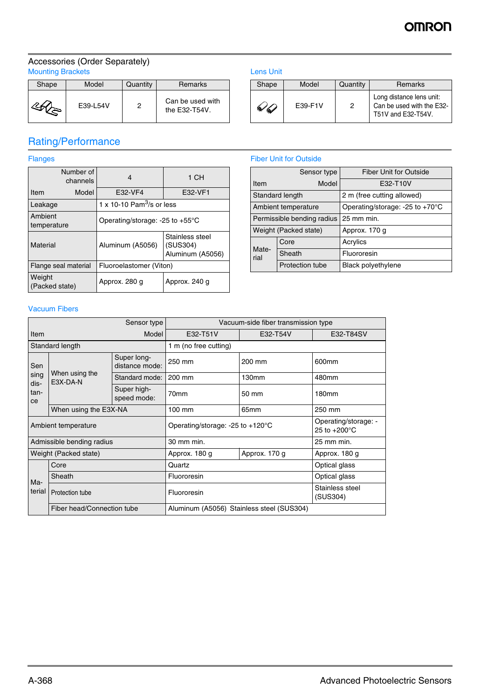## **OMRON**

### Accessories (Order Separately) Mounting Brackets **Lens Unit Contains a Structure Contains a Lens Unit Contains a Lens Unit**

| Shape | Model    | Quantity | Remarks                           |
|-------|----------|----------|-----------------------------------|
|       | E39-L54V | 2        | Can be used with<br>the E32-T54V. |

## Rating/Performance

| Number of<br>channels    |                      | 4                                                                   | 1 CH          |  |
|--------------------------|----------------------|---------------------------------------------------------------------|---------------|--|
| Item                     | Model                | E32-VF4                                                             | E32-VF1       |  |
| Leakage                  |                      | 1 x 10-10 $Pam3/s$ or less                                          |               |  |
| Ambient<br>temperature   |                      | Operating/storage: -25 to +55°C                                     |               |  |
| Material                 |                      | Stainless steel<br>Aluminum (A5056)<br>(SUS304)<br>Aluminum (A5056) |               |  |
|                          | Flange seal material | Fluoroelastomer (Viton)                                             |               |  |
| Weight<br>(Packed state) |                      | Approx. 280 g                                                       | Approx. 240 g |  |

| Shape | Model   | Quantity | <b>Remarks</b>                                                              |
|-------|---------|----------|-----------------------------------------------------------------------------|
|       | F39-F1V | 2        | Long distance lens unit:<br>Can be used with the E32-<br>T51V and E32-T54V. |

## Flanges **Fiber Unit for Outside**

|                            | Sensor type            | <b>Fiber Unit for Outside</b>              |  |
|----------------------------|------------------------|--------------------------------------------|--|
| Model<br><b>Item</b>       |                        | E32-T10V                                   |  |
| Standard length            |                        | 2 m (free cutting allowed)                 |  |
| Ambient temperature        |                        | Operating/storage: -25 to +70 $^{\circ}$ C |  |
| Permissible bending radius |                        | 25 mm min.                                 |  |
| Weight (Packed state)      |                        | Approx. 170 g                              |  |
|                            | Core                   | Acrylics                                   |  |
| Mate-<br>rial              | Sheath                 | Fluororesin                                |  |
|                            | <b>Protection tube</b> | <b>Black polyethylene</b>                  |  |

## Vacuum Fibers

| Sensor type               |                            |                                            | Vacuum-side fiber transmission type       |                                                |                             |  |
|---------------------------|----------------------------|--------------------------------------------|-------------------------------------------|------------------------------------------------|-----------------------------|--|
| Model<br>Item             |                            | E32-T51V                                   | E32-T54V                                  | E32-T84SV                                      |                             |  |
|                           | Standard length            |                                            | 1 m (no free cutting)                     |                                                |                             |  |
| Sen                       |                            | Super long-<br>distance mode:              | 250 mm                                    | 200 mm                                         | 600mm                       |  |
| sing<br>dis-              | When using the<br>E3X-DA-N | Standard mode:                             | 200 mm                                    | 130mm                                          | 480mm                       |  |
| tan-<br>ce                |                            | Super high-<br>speed mode:                 | 70 <sub>mm</sub>                          | 50 mm                                          | 180mm                       |  |
|                           | When using the E3X-NA      |                                            | $100 \text{ mm}$                          | 65 <sub>mm</sub>                               | 250 mm                      |  |
| Ambient temperature       |                            | Operating/storage: -25 to $+120^{\circ}$ C |                                           | Operating/storage: -<br>25 to $+200^{\circ}$ C |                             |  |
| Admissible bending radius |                            | 30 mm min.                                 |                                           | 25 mm min.                                     |                             |  |
| Weight (Packed state)     |                            | Approx. 180 g                              | Approx. 170 g                             | Approx. 180 g                                  |                             |  |
|                           | Core                       |                                            | Quartz                                    |                                                | Optical glass               |  |
| Ma-                       | Sheath                     |                                            | Fluororesin                               |                                                | Optical glass               |  |
| terial                    | Protection tube            |                                            | Fluororesin                               |                                                | Stainless steel<br>(SUS304) |  |
|                           | Fiber head/Connection tube |                                            | Aluminum (A5056) Stainless steel (SUS304) |                                                |                             |  |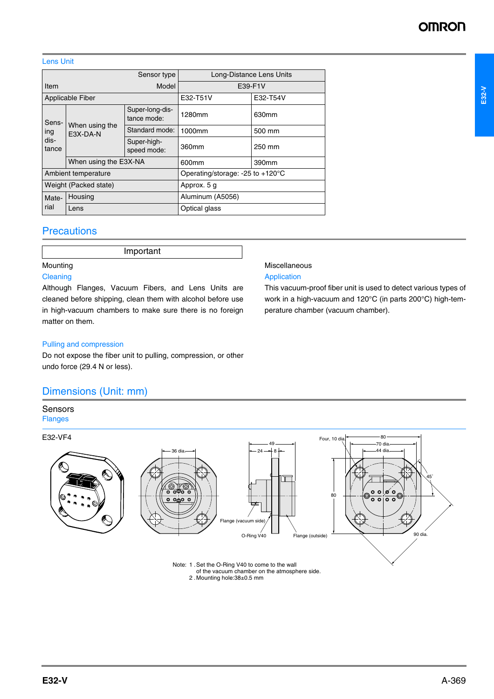### Lens Unit

| Sensor type         |                            |                                | Long-Distance Lens Units                   |          |
|---------------------|----------------------------|--------------------------------|--------------------------------------------|----------|
| Model<br>Item       |                            |                                | E39-F1V                                    |          |
| Applicable Fiber    |                            |                                | E32-T51V                                   | E32-T54V |
| Sens-               | When using the<br>E3X-DA-N | Super-long-dis-<br>tance mode: | 1280mm                                     | 630mm    |
| ing                 |                            | Standard mode:                 | 1000mm                                     | 500 mm   |
| dis-<br>tance       |                            | Super-high-<br>speed mode:     | 360mm                                      | 250 mm   |
|                     | When using the E3X-NA      |                                | 600mm                                      | 390mm    |
| Ambient temperature |                            |                                | Operating/storage: -25 to $+120^{\circ}$ C |          |
|                     | Weight (Packed state)      |                                | Approx. 5 g                                |          |
| Mate-<br>rial       | Housing                    |                                | Aluminum (A5056)                           |          |
|                     | Lens                       |                                | Optical glass                              |          |

## **Precautions**

Important

## Mounting

### **Cleaning**

Although Flanges, Vacuum Fibers, and Lens Units are cleaned before shipping, clean them with alcohol before use in high-vacuum chambers to make sure there is no foreign matter on them.

## Pulling and compression

Do not expose the fiber unit to pulling, compression, or other undo force (29.4 N or less).

## Dimensions (Unit: mm)

### Sensors Flanges

E32-VF4



Miscellaneous Application

This vacuum-proof fiber unit is used to detect various types of work in a high-vacuum and 120°C (in parts 200°C) high-tem-

perature chamber (vacuum chamber).

Note: 1 .Set the O-Ring V40 to come to the wall of the vacuum chamber on the atmosphere side. 2 .Mounting hole:38±0.5 mm